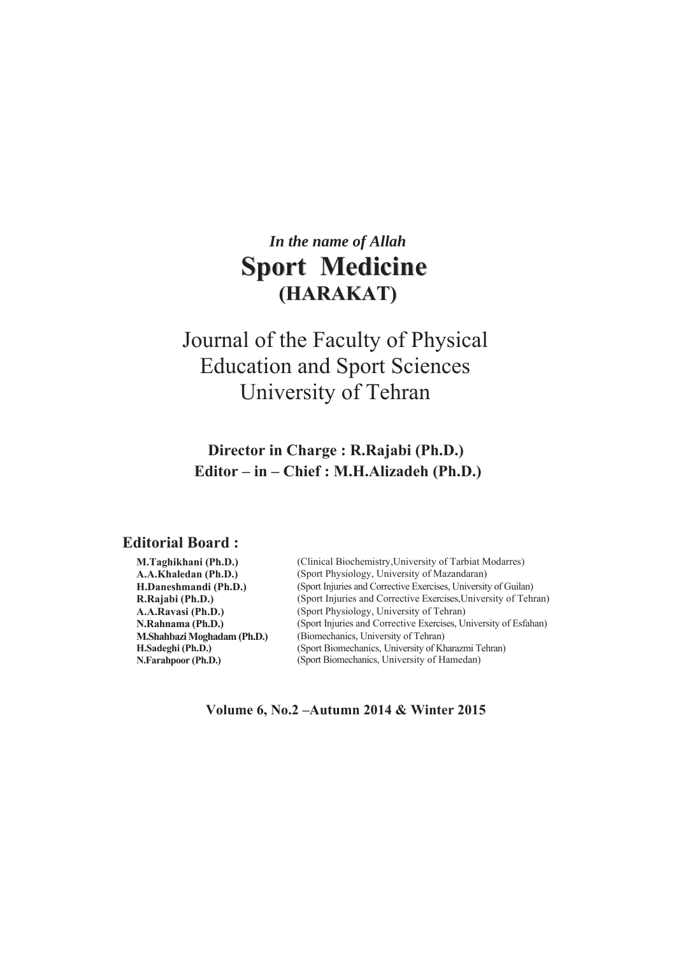# *In the name of Allah*  **Sport Medicine (HARAKAT)**

# Journal of the Faculty of Physical Education and Sport Sciences University of Tehran

# **Director in Charge: R.Rajabi (Ph.D.)** Editor – in – Chief : M.H.Alizadeh (Ph.D.)

# **Editorial Board:**

| M.Taghikhani (Ph.D.)        | (Clinical Biochemistry, University of Tarbiat Modarres)          |  |
|-----------------------------|------------------------------------------------------------------|--|
| A.A.Khaledan (Ph.D.)        | (Sport Physiology, University of Mazandaran)                     |  |
| H.Daneshmandi (Ph.D.)       | (Sport Injuries and Corrective Exercises, University of Guilan)  |  |
| R.Rajabi (Ph.D.)            | (Sport Injuries and Corrective Exercises, University of Tehran)  |  |
| A.A.Ravasi (Ph.D.)          | (Sport Physiology, University of Tehran)                         |  |
| N.Rahnama (Ph.D.)           | (Sport Injuries and Corrective Exercises, University of Esfahan) |  |
| M.Shahbazi Moghadam (Ph.D.) | (Biomechanics, University of Tehran)                             |  |
| H.Sadeghi (Ph.D.)           | (Sport Biomechanics, University of Kharazmi Tehran)              |  |
| N.Farahpoor (Ph.D.)         | (Sport Biomechanics, University of Hamedan)                      |  |
|                             |                                                                  |  |

Volume 6, No.2 - Autumn 2014 & Winter 2015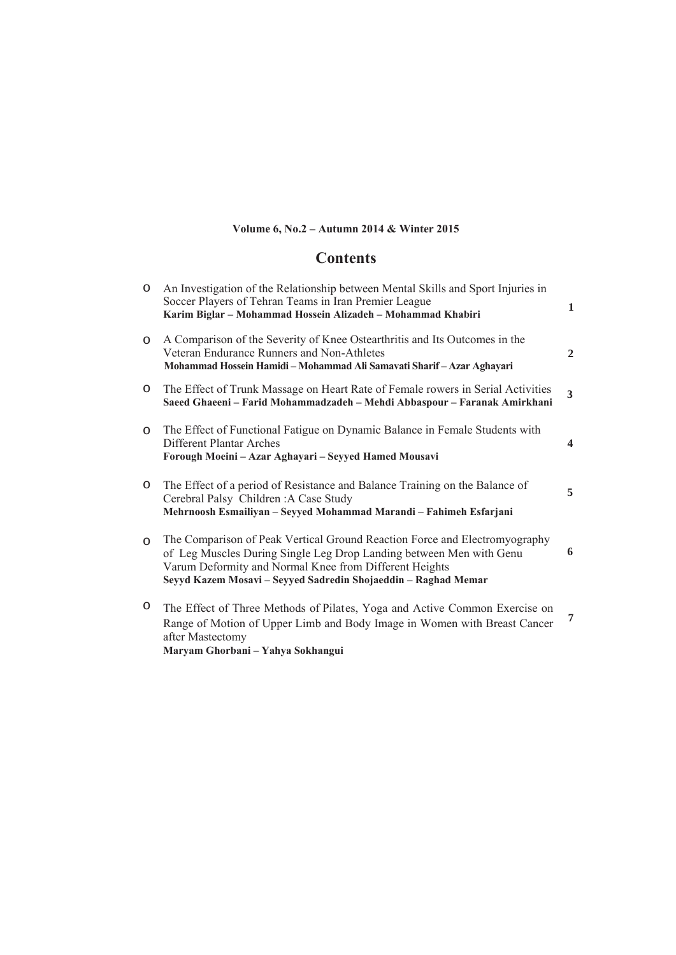# Volume 6, No.2 - Autumn 2014 & Winter 2015

# **Contents**

| $\circ$ | An Investigation of the Relationship between Mental Skills and Sport Injuries in<br>Soccer Players of Tehran Teams in Iran Premier League<br>Karim Biglar - Mohammad Hossein Alizadeh - Mohammad Khabiri                                                                      | $\mathbf{1}$            |
|---------|-------------------------------------------------------------------------------------------------------------------------------------------------------------------------------------------------------------------------------------------------------------------------------|-------------------------|
| $\circ$ | A Comparison of the Severity of Knee Ostearthritis and Its Outcomes in the<br>Veteran Endurance Runners and Non-Athletes<br>Mohammad Hossein Hamidi - Mohammad Ali Samavati Sharif - Azar Aghayari                                                                            | $\overline{2}$          |
| $\circ$ | The Effect of Trunk Massage on Heart Rate of Female rowers in Serial Activities<br>Saeed Ghaeeni – Farid Mohammadzadeh – Mehdi Abbaspour – Faranak Amirkhani                                                                                                                  | 3                       |
| $\circ$ | The Effect of Functional Fatigue on Dynamic Balance in Female Students with<br>Different Plantar Arches<br>Forough Moeini – Azar Aghayari – Seyyed Hamed Mousavi                                                                                                              | $\overline{\mathbf{4}}$ |
| $\circ$ | The Effect of a period of Resistance and Balance Training on the Balance of<br>Cerebral Palsy Children: A Case Study<br>Mehrnoosh Esmailiyan - Seyyed Mohammad Marandi - Fahimeh Esfarjani                                                                                    | 5                       |
| $\circ$ | The Comparison of Peak Vertical Ground Reaction Force and Electromyography<br>of Leg Muscles During Single Leg Drop Landing between Men with Genu<br>Varum Deformity and Normal Knee from Different Heights<br>Seyyd Kazem Mosavi - Seyyed Sadredin Shojaeddin - Raghad Memar | 6                       |
| O       | The Effect of Three Methods of Pilates, Yoga and Active Common Exercise on<br>Range of Motion of Upper Limb and Body Image in Women with Breast Cancer                                                                                                                        | 7                       |

after Mastectomy<br>Maryam Ghorbani - Yahya Sokhangui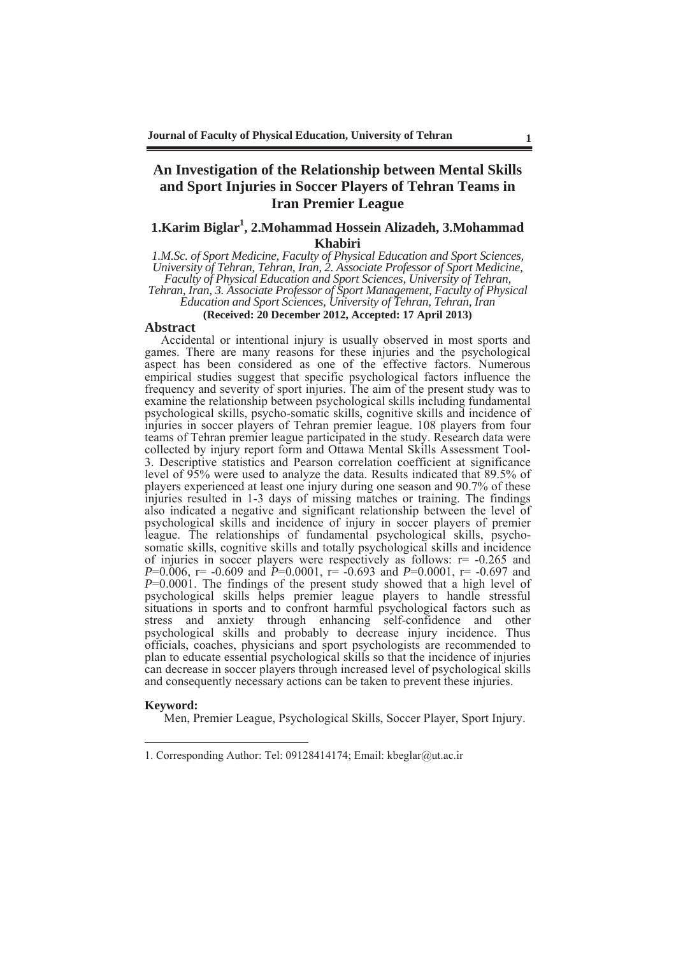# **An Investigation of the Relationship between Mental Skills and Sport Injuries in Soccer Players of Tehran Teams in Iran Premier League**

## 1. Karim Biglar<sup>1</sup>, 2. Mohammad Hossein Alizadeh, 3. Mohammad **Khabiri**

*1.M.Sc. of Sport Medicine, Faculty of Physical Education and Sport Sciences, University of Tehran, Tehran, Iran, 2. Associate Professor of Sport Medicine, Faculty of Physical Education and Sport Sciences, University of Tehran, Tehran, Iran, 3. Associate Professor of Sport Management, Faculty of Physical Education and Sport Sciences, University of Tehran, Tehran, Iran* 

**(Received: 20 December 2012, Accepted: 17 April 2013)** 

#### **Abstract**

Accidental or intentional injury is usually observed in most sports and games. There are many reasons for these injuries and the psychological aspect has been considered as one of the effective factors. Numerous empirical studies suggest that specific psychological factors influence the frequency and severity of sport injuries. The aim of the present study was to examine the relationship between psychological skills including fundamental psychological skills, psycho-somatic skills, cognitive skills and incidence of injuries in soccer players of Tehran premier league. 108 players from four teams of Tehran premier league participated in the study. Research data were collected by injury report form and Ottawa Mental Skills Assessment Tool-3. Descriptive statistics and Pearson correlation coefficient at significance level of 95% were used to analyze the data. Results indicated that 89.5% of players experienced at least one injury during one season and 90.7% of these injuries resulted in 1-3 days of missing matches or training. The findings also indicated a negative and significant relationship between the level of psychological skills and incidence of injury in soccer players of premier league. The relationships of fundamental psychological skills, psychosomatic skills, cognitive skills and totally psychological skills and incidence of injuries in soccer players were respectively as follows:  $r = -0.265$  and *P*=0.006, r= -0.609 and *P*=0.0001, r= -0.693 and *P*=0.0001, r= -0.697 and *P*=0.0001. The findings of the present study showed that a high level of psychological skills helps premier league players to handle stressful situations in sports and to confront harmful psychological factors such as stress and anxiety through enhancing self-confidence and other psychological skills and probably to decrease injury incidence. Thus officials, coaches, physicians and sport psychologists are recommended to plan to educate essential psychological skills so that the incidence of injuries can decrease in soccer players through increased level of psychological skills and consequently necessary actions can be taken to prevent these injuries.

#### **Keyword:**

-

Men, Premier League, Psychological Skills, Soccer Player, Sport Injury.

<sup>1.</sup> Corresponding Author: Tel: 09128414174; Email: kbeglar@ut.ac.ir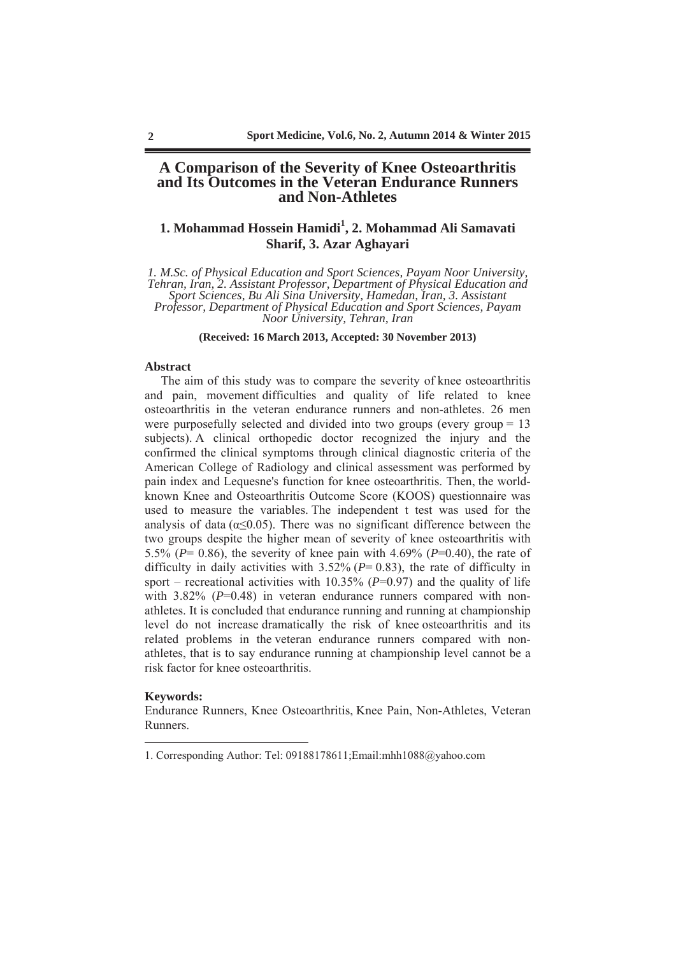### **A Comparison of the Severity of Knee Osteoarthritis and Its Outcomes in the Veteran Endurance Runners and Non-Athletes**

# 1. Mohammad Hossein Hamidi<sup>1</sup>, 2. Mohammad Ali Samavati **Sharif, 3. Azar Aghayari**

*1. M.Sc. of Physical Education and Sport Sciences, Payam Noor University, Tehran, Iran, 2. Assistant Professor, Department of Physical Education and Sport Sciences, Bu Ali Sina University, Hamedan, Iran, 3. Assistant Professor, Department of Physical Education and Sport Sciences, Payam Noor University, Tehran, Iran* 

**(Received: 16 March 2013, Accepted: 30 November 2013)**

#### **Abstract**

The aim of this study was to compare the severity of knee osteoarthritis and pain, movement difficulties and quality of life related to knee osteoarthritis in the veteran endurance runners and non-athletes. 26 men were purposefully selected and divided into two groups (every group = 13 subjects). A clinical orthopedic doctor recognized the injury and the confirmed the clinical symptoms through clinical diagnostic criteria of the American College of Radiology and clinical assessment was performed by pain index and Lequesne's function for knee osteoarthritis. Then, the worldknown Knee and Osteoarthritis Outcome Score (KOOS) questionnaire was used to measure the variables. The independent t test was used for the analysis of data  $(\alpha \leq 0.05)$ . There was no significant difference between the two groups despite the higher mean of severity of knee osteoarthritis with 5.5% (*P*= 0.86), the severity of knee pain with 4.69% (*P*=0.40), the rate of difficulty in daily activities with  $3.52\%$  ( $P= 0.83$ ), the rate of difficulty in sport – recreational activities with  $10.35\%$  ( $P=0.97$ ) and the quality of life with 3.82% ( $P=0.48$ ) in veteran endurance runners compared with nonathletes. It is concluded that endurance running and running at championship level do not increase dramatically the risk of knee osteoarthritis and its related problems in the veteran endurance runners compared with nonathletes, that is to say endurance running at championship level cannot be a risk factor for knee osteoarthritis.

#### **Keywords:**

-

Endurance Runners, Knee Osteoarthritis, Knee Pain, Non-Athletes, Veteran Runners.

<sup>1.</sup> Corresponding Author: Tel: 09188178611;Email:mhh1088@yahoo.com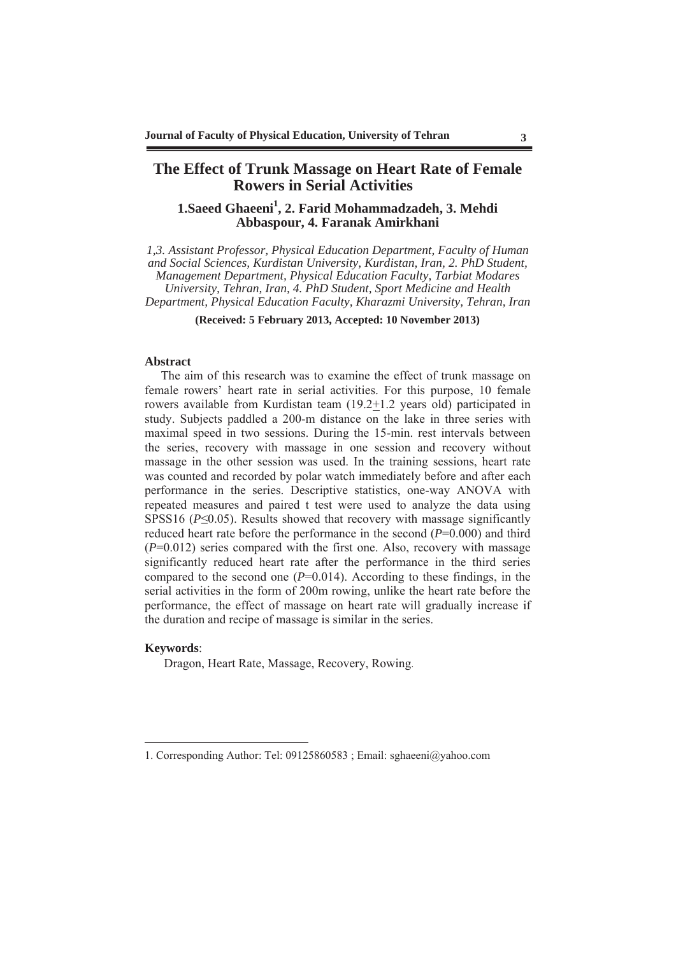# **The Effect of Trunk Massage on Heart Rate of Female Rowers in Serial Activities**

# 1. Saeed Ghaeeni<sup>1</sup>, 2. Farid Mohammadzadeh, 3. Mehdi **Abbaspour, 4. Faranak Amirkhani**

*1,3. Assistant Professor, Physical Education Department, Faculty of Human and Social Sciences, Kurdistan University, Kurdistan, Iran, 2. PhD Student, Management Department, Physical Education Faculty, Tarbiat Modares University, Tehran, Iran, 4. PhD Student, Sport Medicine and Health Department, Physical Education Faculty, Kharazmi University, Tehran, Iran* 

**(Received: 5 February 2013, Accepted: 10 November 2013)** 

#### **Abstract**

The aim of this research was to examine the effect of trunk massage on female rowers' heart rate in serial activities. For this purpose, 10 female rowers available from Kurdistan team (19.2+1.2 years old) participated in study. Subjects paddled a 200-m distance on the lake in three series with maximal speed in two sessions. During the 15-min. rest intervals between the series, recovery with massage in one session and recovery without massage in the other session was used. In the training sessions, heart rate was counted and recorded by polar watch immediately before and after each performance in the series. Descriptive statistics, one-way ANOVA with repeated measures and paired t test were used to analyze the data using SPSS16 ( $P \le 0.05$ ). Results showed that recovery with massage significantly reduced heart rate before the performance in the second (*P*=0.000) and third (*P*=0.012) series compared with the first one. Also, recovery with massage significantly reduced heart rate after the performance in the third series compared to the second one  $(P=0.014)$ . According to these findings, in the serial activities in the form of 200m rowing, unlike the heart rate before the performance, the effect of massage on heart rate will gradually increase if the duration and recipe of massage is similar in the series.

#### **Keywords**:

-

Dragon, Heart Rate, Massage, Recovery, Rowing.

<sup>1.</sup> Corresponding Author: Tel: 09125860583 ; Email: sghaeeni@yahoo.com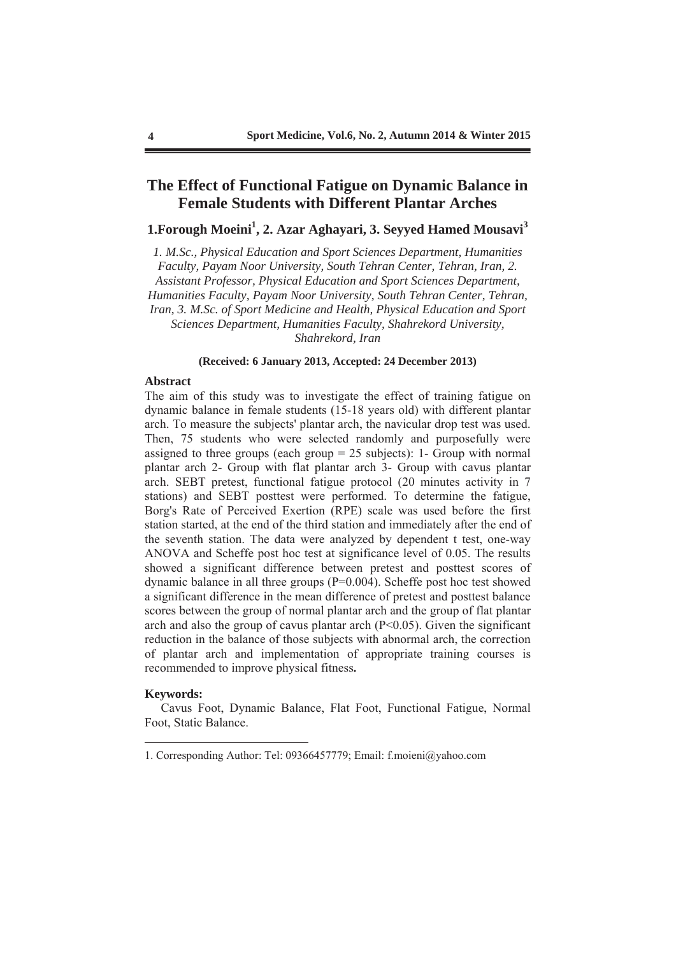# **The Effect of Functional Fatigue on Dynamic Balance in Female Students with Different Plantar Arches**

# 1. Forough Moeini<sup>1</sup>, 2. Azar Aghayari, 3. Seyyed Hamed Mousavi<sup>3</sup>

*1. M.Sc., Physical Education and Sport Sciences Department, Humanities Faculty, Payam Noor University, South Tehran Center, Tehran, Iran, 2. Assistant Professor, Physical Education and Sport Sciences Department, Humanities Faculty, Payam Noor University, South Tehran Center, Tehran, Iran, 3. M.Sc. of Sport Medicine and Health, Physical Education and Sport Sciences Department, Humanities Faculty, Shahrekord University, Shahrekord, Iran* 

#### **(Received: 6 January 2013, Accepted: 24 December 2013)**

#### **Abstract**

The aim of this study was to investigate the effect of training fatigue on dynamic balance in female students (15-18 years old) with different plantar arch. To measure the subjects' plantar arch, the navicular drop test was used. Then, 75 students who were selected randomly and purposefully were assigned to three groups (each group  $= 25$  subjects): 1- Group with normal plantar arch 2- Group with flat plantar arch 3- Group with cavus plantar arch. SEBT pretest, functional fatigue protocol (20 minutes activity in 7 stations) and SEBT posttest were performed. To determine the fatigue, Borg's Rate of Perceived Exertion (RPE) scale was used before the first station started, at the end of the third station and immediately after the end of the seventh station. The data were analyzed by dependent t test, one-way ANOVA and Scheffe post hoc test at significance level of 0.05. The results showed a significant difference between pretest and posttest scores of dynamic balance in all three groups (P=0.004). Scheffe post hoc test showed a significant difference in the mean difference of pretest and posttest balance scores between the group of normal plantar arch and the group of flat plantar arch and also the group of cavus plantar arch  $(P<0.05)$ . Given the significant reduction in the balance of those subjects with abnormal arch, the correction of plantar arch and implementation of appropriate training courses is recommended to improve physical fitness**.**

#### **Keywords:**

-

Cavus Foot, Dynamic Balance, Flat Foot, Functional Fatigue, Normal Foot, Static Balance.

<sup>1.</sup> Corresponding Author: Tel: 09366457779; Email: f.moieni@yahoo.com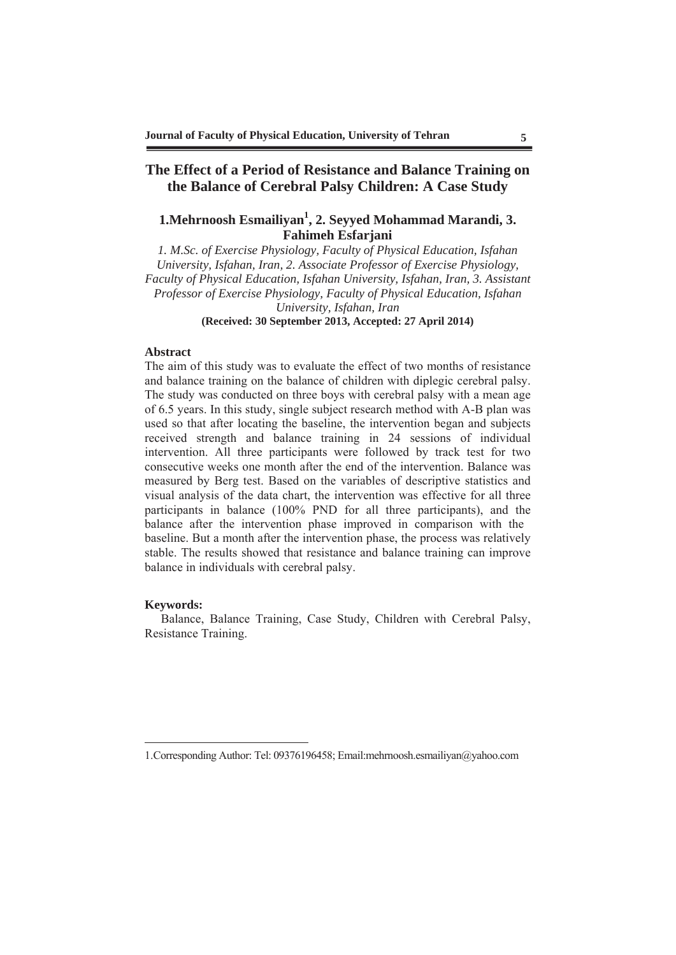# **The Effect of a Period of Resistance and Balance Training on the Balance of Cerebral Palsy Children: A Case Study**

# 1. Mehrnoosh Esmailiyan<sup>1</sup>, 2. Seyyed Mohammad Marandi, 3. **Fahimeh Esfarjani**

*1. M.Sc. of Exercise Physiology, Faculty of Physical Education, Isfahan University, Isfahan, Iran, 2. Associate Professor of Exercise Physiology, Faculty of Physical Education, Isfahan University, Isfahan, Iran, 3. Assistant Professor of Exercise Physiology, Faculty of Physical Education, Isfahan University, Isfahan, Iran*  **(Received: 30 September 2013, Accepted: 27 April 2014)** 

#### **Abstract**

The aim of this study was to evaluate the effect of two months of resistance and balance training on the balance of children with diplegic cerebral palsy. The study was conducted on three boys with cerebral palsy with a mean age of 6.5 years. In this study, single subject research method with A-B plan was used so that after locating the baseline, the intervention began and subjects received strength and balance training in 24 sessions of individual intervention. All three participants were followed by track test for two consecutive weeks one month after the end of the intervention. Balance was measured by Berg test. Based on the variables of descriptive statistics and visual analysis of the data chart, the intervention was effective for all three participants in balance (100% PND for all three participants), and the balance after the intervention phase improved in comparison with the baseline. But a month after the intervention phase, the process was relatively stable. The results showed that resistance and balance training can improve balance in individuals with cerebral palsy.

#### **Keywords:**

-

Balance, Balance Training, Case Study, Children with Cerebral Palsy, Resistance Training.

<sup>1.</sup>Corresponding Author: Tel: 09376196458; Email:mehrnoosh.esmailiyan@yahoo.com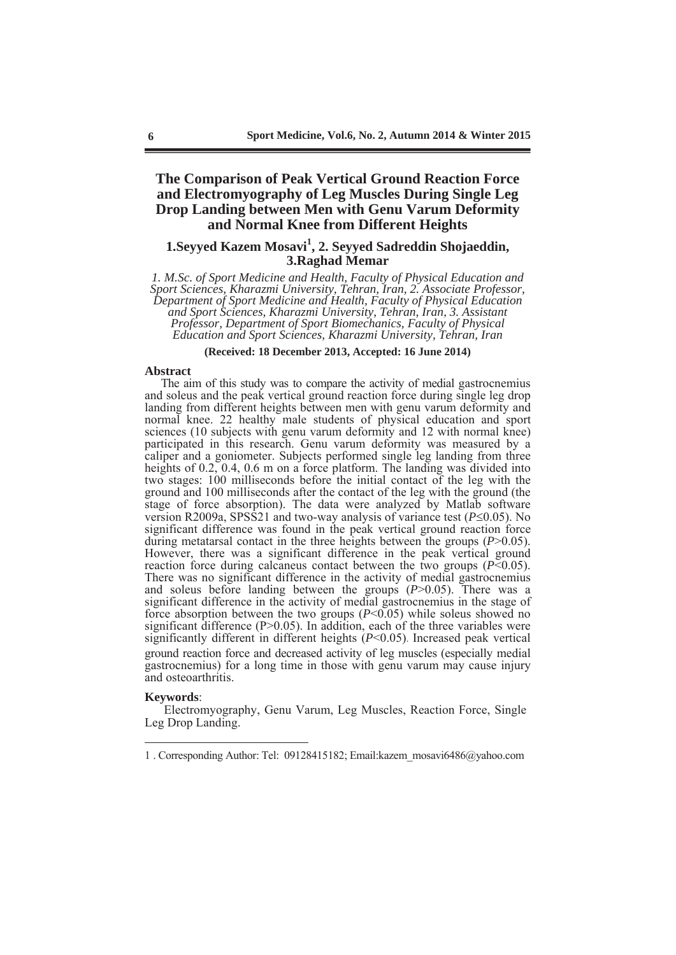## **The Comparison of Peak Vertical Ground Reaction Force and Electromyography of Leg Muscles During Single Leg Drop Landing between Men with Genu Varum Deformity and Normal Knee from Different Heights**

# **1.Seyyed Kazem Mosavi<sup>1</sup> , 2. Seyyed Sadreddin Shojaeddin, 3.Raghad Memar**

*1. M.Sc. of Sport Medicine and Health, Faculty of Physical Education and Sport Sciences, Kharazmi University, Tehran, Iran, 2. Associate Professor, Department of Sport Medicine and Health, Faculty of Physical Education and Sport Sciences, Kharazmi University, Tehran, Iran*, *3. Assistant Professor, Department of Sport Biomechanics, Faculty of Physical Education and Sport Sciences, Kharazmi University, Tehran, Iran* 

**(Received: 18 December 2013, Accepted: 16 June 2014)**

#### **Abstract**

The aim of this study was to compare the activity of medial gastrocnemius and soleus and the peak vertical ground reaction force during single leg drop landing from different heights between men with genu varum deformity and normal knee. 22 healthy male students of physical education and sport sciences (10 subjects with genu varum deformity and 12 with normal knee) participated in this research. Genu varum deformity was measured by a caliper and a goniometer. Subjects performed single leg landing from three heights of 0.2, 0.4, 0.6 m on a force platform. The landing was divided into two stages: 100 milliseconds before the initial contact of the leg with the ground and 100 milliseconds after the contact of the leg with the ground (the stage of force absorption). The data were analyzed by Matlab software version R2009a, SPSS21 and two-way analysis of variance test ( $P \le 0.05$ ). No significant difference was found in the peak vertical ground reaction force during metatarsal contact in the three heights between the groups (*P*>0.05). However, there was a significant difference in the peak vertical ground reaction force during calcaneus contact between the two groups  $(P< 0.05)$ . There was no significant difference in the activity of medial gastrocnemius and soleus before landing between the groups (*P*>0.05). There was a significant difference in the activity of medial gastrocnemius in the stage of force absorption between the two groups (*P*<0.05) while soleus showed no significant difference  $(P>0.05)$ . In addition, each of the three variables were significantly different in different heights (*P*<0.05). Increased peak vertical ground reaction force and decreased activity of leg muscles (especially medial gastrocnemius) for a long time in those with genu varum may cause injury and osteoarthritis.

#### **Keywords**:

-

 Electromyography, Genu Varum, Leg Muscles, Reaction Force, Single Leg Drop Landing.

<sup>1 .</sup> Corresponding Author: Tel: 09128415182; Email:kazem\_mosavi6486@yahoo.com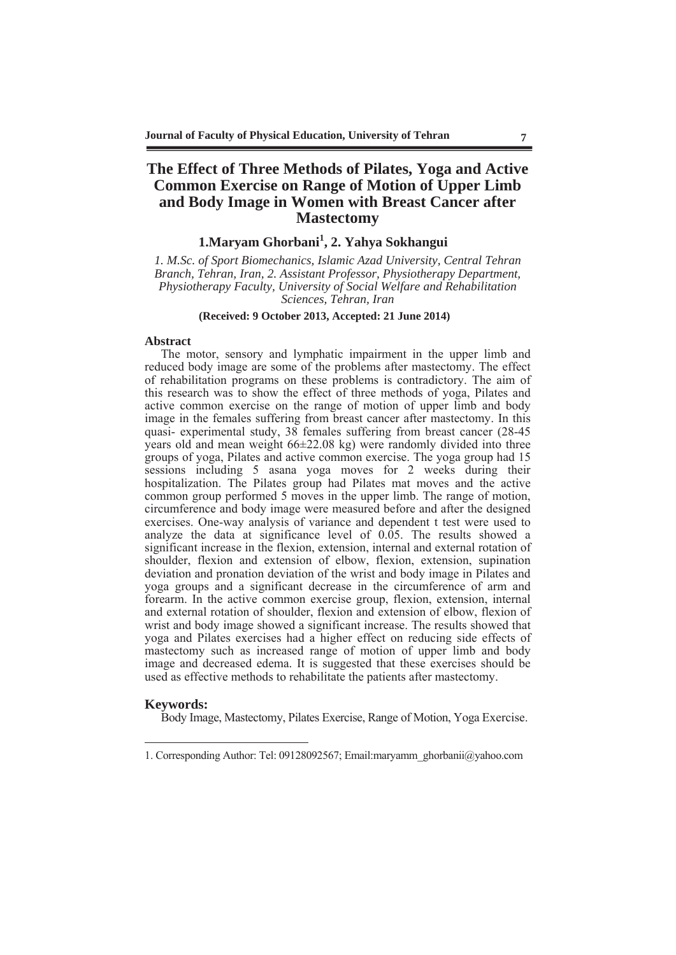# **The Effect of Three Methods of Pilates, Yoga and Active Common Exercise on Range of Motion of Upper Limb and Body Image in Women with Breast Cancer after Mastectomy**

# **1.Maryam Ghorbani<sup>1</sup> , 2. Yahya Sokhangui**

*1. M.Sc. of Sport Biomechanics, Islamic Azad University, Central Tehran Branch, Tehran, Iran, 2. Assistant Professor, Physiotherapy Department, Physiotherapy Faculty, University of Social Welfare and Rehabilitation Sciences, Tehran, Iran* 

#### **(Received: 9 October 2013, Accepted: 21 June 2014)**

#### **Abstract**

The motor, sensory and lymphatic impairment in the upper limb and reduced body image are some of the problems after mastectomy. The effect of rehabilitation programs on these problems is contradictory. The aim of this research was to show the effect of three methods of yoga, Pilates and active common exercise on the range of motion of upper limb and body image in the females suffering from breast cancer after mastectomy. In this quasi- experimental study, 38 females suffering from breast cancer (28-45 years old and mean weight  $66\pm22.08$  kg) were randomly divided into three groups of yoga, Pilates and active common exercise. The yoga group had 15 sessions including 5 asana yoga moves for 2 weeks during their hospitalization. The Pilates group had Pilates mat moves and the active common group performed 5 moves in the upper limb. The range of motion, circumference and body image were measured before and after the designed exercises. One-way analysis of variance and dependent t test were used to analyze the data at significance level of 0.05. The results showed a significant increase in the flexion, extension, internal and external rotation of shoulder, flexion and extension of elbow, flexion, extension, supination deviation and pronation deviation of the wrist and body image in Pilates and yoga groups and a significant decrease in the circumference of arm and forearm. In the active common exercise group, flexion, extension, internal and external rotation of shoulder, flexion and extension of elbow, flexion of wrist and body image showed a significant increase. The results showed that yoga and Pilates exercises had a higher effect on reducing side effects of mastectomy such as increased range of motion of upper limb and body image and decreased edema. It is suggested that these exercises should be used as effective methods to rehabilitate the patients after mastectomy.

#### **Keywords:**

-

Body Image, Mastectomy, Pilates Exercise, Range of Motion, Yoga Exercise.

<sup>1.</sup> Corresponding Author: Tel: 09128092567; Email:maryamm\_ghorbanii@yahoo.com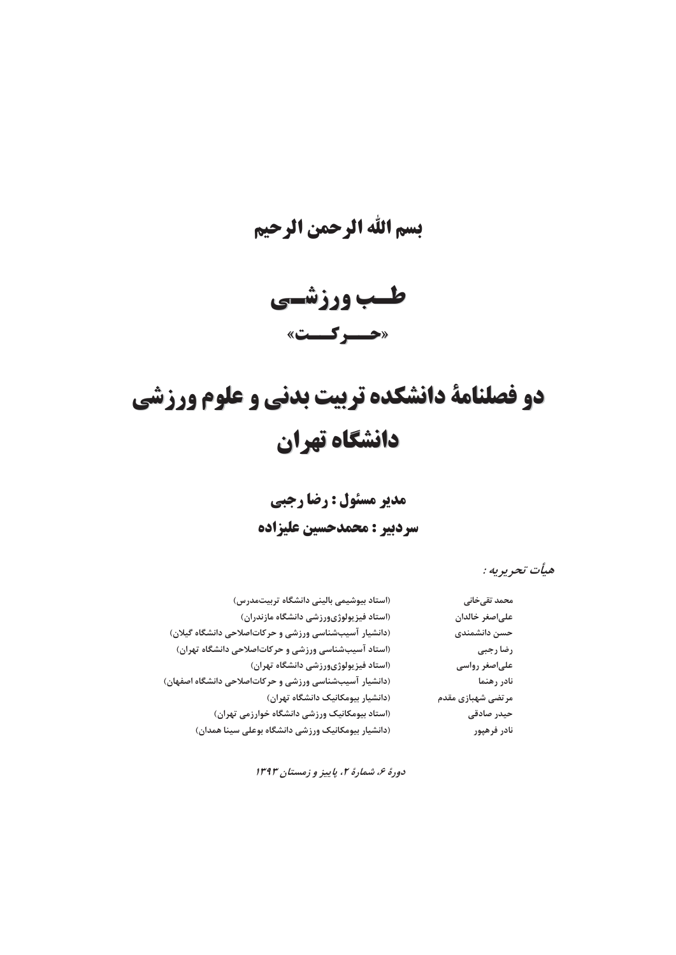# بسم الله الرحمن الرحيم

طسب ورزشسي «حسركست»

# دو فصلنامة دانشكده تربيت بدني و علوم ورزشي دانشگاه تهران

مدير مسئول : رضا رجبي

سردبير : محمدحسين عليزاده

هيأت تحريريه :

| محمد تقىخانى      | (استاد بیوشیمی بالینی دانشگاه تربیتمدرس)               |
|-------------------|--------------------------------------------------------|
| علىاصغر خالدان    | (استاد فیزیولوژیورزشی دانشگاه مازندران)                |
| حسن دانشمندی      | (دانشیار آسیبشناسی ورزشی و حرکاتاصلاحی دانشگاه گیلان)  |
| رضا رجبى          | (استاد آسیبشناسی ورزشی و حرکاتاصلاحی دانشگاه تهران)    |
| علىاصغر رواسى     | (استاد فیزیولوژیورزشی دانشگاه تهران)                   |
| نادر رهنما        | (دانشیار آسیبشناسی ورزشی و حرکاتاصلاحی دانشگاه اصفهان) |
| مرتضى شهبازى مقدم | (دانشیار بیومکانیک دانشگاه تهران)                      |
| حیدر صادقی        | (استاد بیومکانیک ورزشی دانشگاه خوارزمی تهران)          |
| نادر فرهپور       | (دانشیار بیومکانیک ورزشی دانشگاه بوعلی سینا همدان)     |

دورهٔ ۶، شمارهٔ ۲، پاییز و زمستان ۱۳۹۳